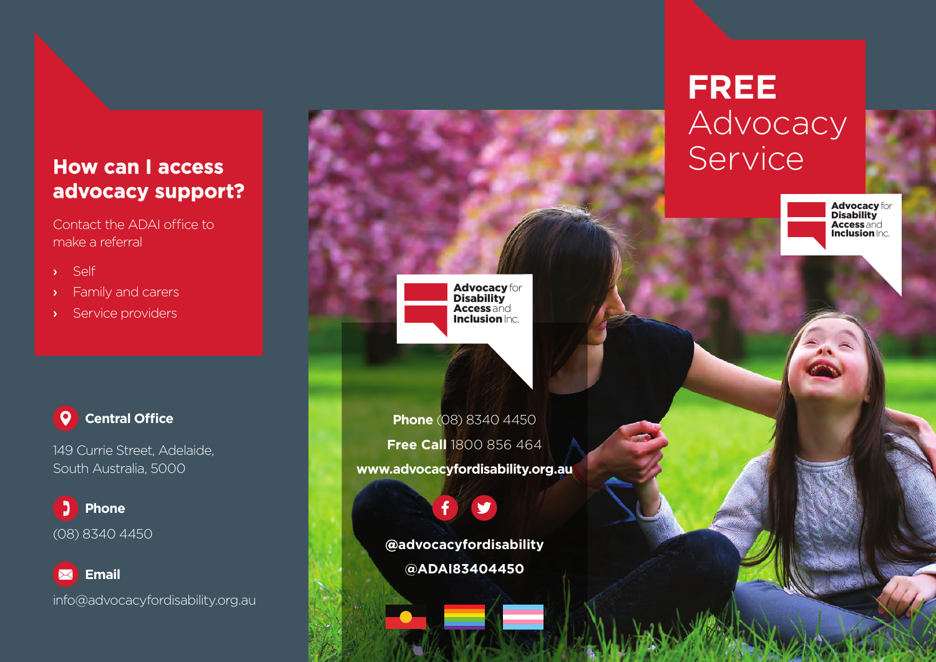### **How can I access advocacy support?**

Contact the ADAI office to make a referral

- › Self
- › Family and carers
- › Service providers

#### **0** 1 **Central Office**

149 Currie Street, Adelaide, South Australia, 5000

Ľ. **Phone** (08) 8340 4450

 **Email** info@advocacyfordisability.org.au Advocacy for Disability **Access** and **Inclusion** Inc.

**Phone** (08) 8340 4450 **Free Call** 1800 856 464 **www.advocacyfordisability.org.au**

> **@advocacyfordisability @ADAI83404450**

# **FREE** Advocacy Service